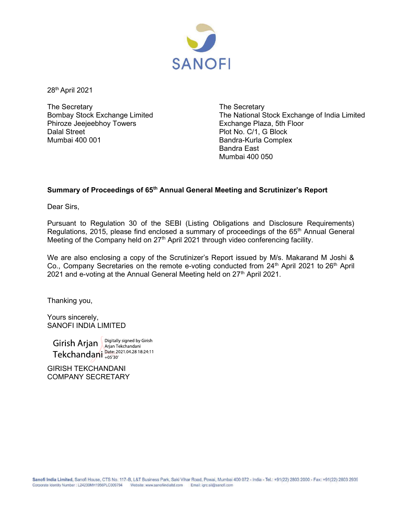

28th April 2021

The Secretary Bombay Stock Exchange Limited Phiroze Jeejeebhoy Towers Dalal Street Mumbai 400 001

The Secretary The National Stock Exchange of India Limited Exchange Plaza, 5th Floor Plot No. C/1, G Block Bandra-Kurla Complex Bandra East Mumbai 400 050

## Summary of Proceedings of 65<sup>th</sup> Annual General Meeting and Scrutinizer's Report

Dear Sirs,

Pursuant to Regulation 30 of the SEBI (Listing Obligations and Disclosure Requirements) Regulations, 2015, please find enclosed a summary of proceedings of the 65<sup>th</sup> Annual General Meeting of the Company held on 27<sup>th</sup> April 2021 through video conferencing facility.

We are also enclosing a copy of the Scrutinizer's Report issued by M/s. Makarand M Joshi & Co., Company Secretaries on the remote e-voting conducted from 24<sup>th</sup> April 2021 to 26<sup>th</sup> April 2021 and e-voting at the Annual General Meeting held on 27<sup>th</sup> April 2021.

Thanking you,

Yours sincerely, SANOFI INDIA LIMITED

Girish Arjan Arjan Tekchandani Tekchandani parte 2021.04.28 18:24:11

GIRISH TEKCHANDANI COMPANY SECRETARY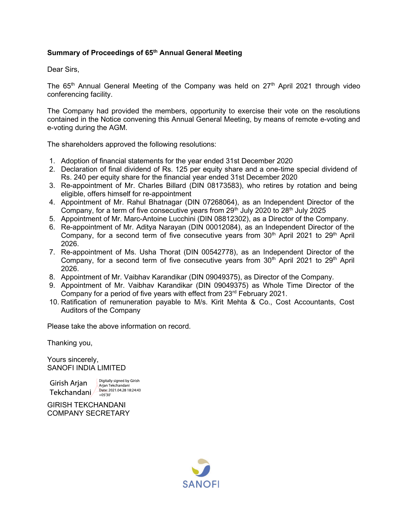## Summary of Proceedings of 65<sup>th</sup> Annual General Meeting

Dear Sirs,

The  $65<sup>th</sup>$  Annual General Meeting of the Company was held on  $27<sup>th</sup>$  April 2021 through video conferencing facility.

The Company had provided the members, opportunity to exercise their vote on the resolutions contained in the Notice convening this Annual General Meeting, by means of remote e-voting and e-voting during the AGM.

The shareholders approved the following resolutions:

- 1. Adoption of financial statements for the year ended 31st December 2020
- 2. Declaration of final dividend of Rs. 125 per equity share and a one-time special dividend of Rs. 240 per equity share for the financial year ended 31st December 2020
- 3. Re-appointment of Mr. Charles Billard (DIN 08173583), who retires by rotation and being eligible, offers himself for re-appointment
- 4. Appointment of Mr. Rahul Bhatnagar (DIN 07268064), as an Independent Director of the Company, for a term of five consecutive years from  $29<sup>th</sup>$  July 2020 to  $28<sup>th</sup>$  July 2025
- 5. Appointment of Mr. Marc-Antoine Lucchini (DIN 08812302), as a Director of the Company.
- 6. Re-appointment of Mr. Aditya Narayan (DIN 00012084), as an Independent Director of the Company, for a second term of five consecutive years from  $30<sup>th</sup>$  April 2021 to  $29<sup>th</sup>$  April 2026.
- 7. Re-appointment of Ms. Usha Thorat (DIN 00542778), as an Independent Director of the Company, for a second term of five consecutive years from  $30<sup>th</sup>$  April 2021 to  $29<sup>th</sup>$  April 2026.
- 8. Appointment of Mr. Vaibhav Karandikar (DIN 09049375), as Director of the Company.
- 9. Appointment of Mr. Vaibhav Karandikar (DIN 09049375) as Whole Time Director of the Company for a period of five years with effect from 23rd February 2021.
- 10. Ratification of remuneration payable to M/s. Kirit Mehta & Co., Cost Accountants, Cost Auditors of the Company

Please take the above information on record.

Thanking you,

Yours sincerely, SANOFI INDIA LIMITED

Digitally signed by Girish Girish Arjan<br>Tekchandanj Date: 2021.04.28 18:24:43

Arian Tekchandani

GIRISH TEKCHANDANI COMPANY SECRETARY

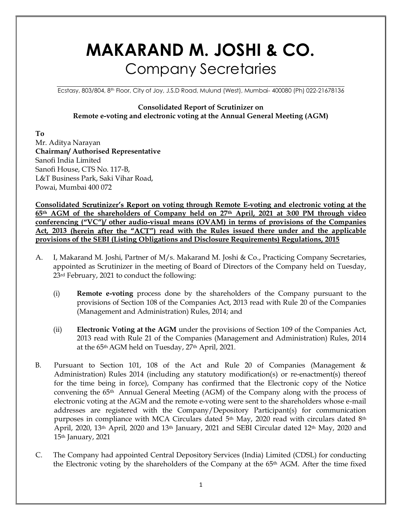# MAKARAND M. JOSHI & CO. Company Secretaries

Ecstasy, 803/804, 8th Floor, City of Joy, J.S.D Road, Mulund (West), Mumbai- 400080 (Ph) 022-21678136

## Consolidated Report of Scrutinizer on Remote e-voting and electronic voting at the Annual General Meeting (AGM)

To Mr. Aditya Narayan Chairman/ Authorised Representative Sanofi India Limited Sanofi House, CTS No. 117-B, L&T Business Park, Saki Vihar Road, Powai, Mumbai 400 072

Consolidated Scrutinizer's Report on voting through Remote E-voting and electronic voting at the 65th AGM of the shareholders of Company held on 27th April, 2021 at 3:00 PM through video conferencing  $($ "VC" $)$ / other audio-visual means (OVAM) in terms of provisions of the Companies Act, 2013 (herein after the "ACT") read with the Rules issued there under and the applicable provisions of the SEBI (Listing Obligations and Disclosure Requirements) Regulations, 2015

- A. I, Makarand M. Joshi, Partner of M/s. Makarand M. Joshi & Co., Practicing Company Secretaries, appointed as Scrutinizer in the meeting of Board of Directors of the Company held on Tuesday, 23rd February, 2021 to conduct the following:
	- (i) Remote e-voting process done by the shareholders of the Company pursuant to the provisions of Section 108 of the Companies Act, 2013 read with Rule 20 of the Companies (Management and Administration) Rules, 2014; and
	- (ii) Electronic Voting at the AGM under the provisions of Section 109 of the Companies Act, 2013 read with Rule 21 of the Companies (Management and Administration) Rules, 2014 at the 65th AGM held on Tuesday, 27th April, 2021.
- B. Pursuant to Section 101, 108 of the Act and Rule 20 of Companies (Management & Administration) Rules 2014 (including any statutory modification(s) or re-enactment(s) thereof for the time being in force), Company has confirmed that the Electronic copy of the Notice convening the 65th Annual General Meeting (AGM) of the Company along with the process of electronic voting at the AGM and the remote e-voting were sent to the shareholders whose e-mail addresses are registered with the Company/Depository Participant(s) for communication purposes in compliance with MCA Circulars dated 5<sup>th</sup> May, 2020 read with circulars dated 8<sup>th</sup> April, 2020, 13<sup>th</sup> April, 2020 and 13<sup>th</sup> January, 2021 and SEBI Circular dated 12<sup>th</sup> May, 2020 and 15th January, 2021
- C. The Company had appointed Central Depository Services (India) Limited (CDSL) for conducting the Electronic voting by the shareholders of the Company at the 65<sup>th</sup> AGM. After the time fixed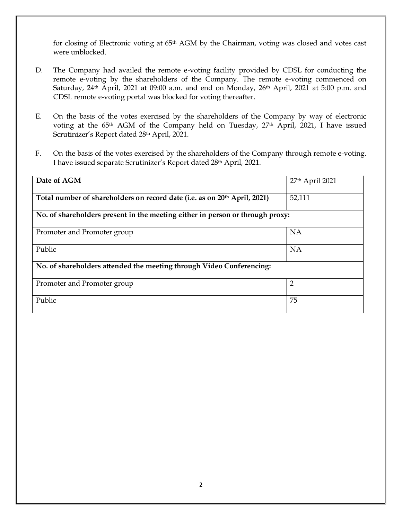for closing of Electronic voting at 65th AGM by the Chairman, voting was closed and votes cast were unblocked.

- D. The Company had availed the remote e-voting facility provided by CDSL for conducting the remote e-voting by the shareholders of the Company. The remote e-voting commenced on Saturday,  $24<sup>th</sup>$  April,  $2021$  at  $09:00$  a.m. and end on Monday,  $26<sup>th</sup>$  April,  $2021$  at  $5:00$  p.m. and CDSL remote e-voting portal was blocked for voting thereafter.
- E. On the basis of the votes exercised by the shareholders of the Company by way of electronic voting at the 65<sup>th</sup> AGM of the Company held on Tuesday, 27<sup>th</sup> April, 2021, I have issued Scrutinizer's Report dated 28th April, 2021.
- F. On the basis of the votes exercised by the shareholders of the Company through remote e-voting. I have issued separate Scrutinizer's Report dated 28th April, 2021.

| Date of AGM                                                                   | $27th$ April 2021 |
|-------------------------------------------------------------------------------|-------------------|
| Total number of shareholders on record date (i.e. as on 20th April, 2021)     | 52,111            |
| No. of shareholders present in the meeting either in person or through proxy: |                   |
| Promoter and Promoter group                                                   | <b>NA</b>         |
| Public                                                                        | <b>NA</b>         |
| No. of shareholders attended the meeting through Video Conferencing:          |                   |
| Promoter and Promoter group                                                   | 2                 |
| Public                                                                        | 75                |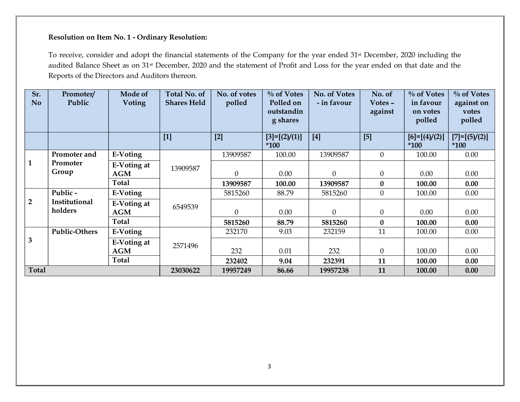| $\mathbf{1}$            |                          |                           |          |                  | g shares               |                |                  | on votes<br>polled         | votes<br>polled            |
|-------------------------|--------------------------|---------------------------|----------|------------------|------------------------|----------------|------------------|----------------------------|----------------------------|
|                         |                          |                           | $[1]$    | $[2]$            | $[3]=[2]/(1)]$<br>*100 | $[4]$          | $[5]$            | $[6]=[ (4)/(2)]$<br>$*100$ | $[7]=[ (5)/(2)]$<br>$*100$ |
|                         | Promoter and             | E-Voting                  |          | 13909587         | 100.00                 | 13909587       | $\mathbf{0}$     | 100.00                     | 0.00                       |
|                         | Promoter<br>Group        | E-Voting at<br>AGM        | 13909587 | $\boldsymbol{0}$ | 0.00                   | 0              | $\boldsymbol{0}$ | 0.00                       | 0.00                       |
|                         |                          | <b>Total</b>              |          | 13909587         | 100.00                 | 13909587       | $\boldsymbol{0}$ | 100.00                     | 0.00                       |
|                         | Public -                 | <b>E-Voting</b>           |          | 5815260          | 88.79                  | 5815260        | $\boldsymbol{0}$ | 100.00                     | 0.00                       |
| $\overline{2}$          | Institutional<br>holders | <b>E-Voting at</b><br>AGM | 6549539  | $\boldsymbol{0}$ | $0.00\,$               | $\overline{0}$ | $\theta$         | $0.00\,$                   | 0.00                       |
|                         |                          | <b>Total</b>              |          | 5815260          | 88.79                  | 5815260        | $\bf{0}$         | 100.00                     | 0.00                       |
|                         | <b>Public-Others</b>     | E-Voting                  |          | 232170           | 9.03                   | 232159         | 11               | 100.00                     | 0.00                       |
| $\overline{\mathbf{3}}$ |                          | <b>E-Voting at</b><br>AGM | 2571496  | 232              | 0.01                   | 232            | $\theta$         | 100.00                     | 0.00                       |
|                         |                          | <b>Total</b>              |          | 232402           | 9.04                   | 232391         | 11               | 100.00                     | 0.00                       |
| <b>Total</b>            |                          |                           | 23030622 | 19957249         | 86.66                  | 19957238       | 11               | 100.00                     | 0.00                       |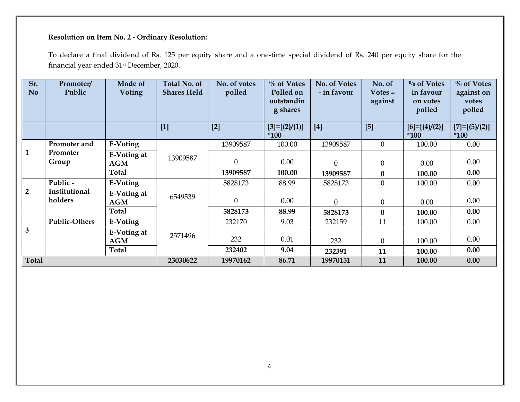| Sr.<br>No      | Promoter/<br>Public      | Mode of<br><b>Voting</b>         | Total No. of<br><b>Shares Held</b> | No. of votes<br>polled | $\%$ of Votes<br>Polled on<br>outstandin<br>g shares | No. of Votes<br>- in favour | No. of<br>Votes -<br>against | $\frac{0}{10}$ of Votes<br>in favour<br>on votes<br>polled | $\%$ of Votes<br>against on<br>votes<br>polled |
|----------------|--------------------------|----------------------------------|------------------------------------|------------------------|------------------------------------------------------|-----------------------------|------------------------------|------------------------------------------------------------|------------------------------------------------|
|                |                          |                                  | $[1]$                              | $[2]$                  | $[3]=[2]/(1)]$<br>$*100$                             | $[4]$                       | [5]                          | $[6]=[ (4)/(2)]$<br>$*100$                                 | $[7]=[ (5)/(2)]$<br>$*100$                     |
|                | Promoter and             | E-Voting                         |                                    | 13909587               | 100.00                                               | 13909587                    | $\mathbf{0}$                 | 100.00                                                     | $0.00\,$                                       |
| $\mathbf{1}$   | Promoter<br>Group        | <b>E-Voting at</b><br><b>AGM</b> | 13909587                           | $\boldsymbol{0}$       | 0.00                                                 | $\boldsymbol{0}$            | $\theta$                     | 0.00                                                       | 0.00                                           |
|                |                          | Total                            |                                    | 13909587               | 100.00                                               | 13909587                    | $\bf{0}$                     | 100.00                                                     | 0.00                                           |
|                | Public -                 | E-Voting                         |                                    | 5828173                | 88.99                                                | 5828173                     | $\mathbf{0}$                 | 100.00                                                     | 0.00                                           |
| $\overline{2}$ | Institutional<br>holders | E-Voting at<br>$\bf AGM$         | 6549539                            | $\overline{0}$         | 0.00                                                 | $\boldsymbol{0}$            | $\theta$                     | 0.00                                                       | 0.00                                           |
|                |                          | Total                            |                                    | 5828173                | 88.99                                                | 5828173                     | $\bf{0}$                     | 100.00                                                     | 0.00                                           |
|                | <b>Public-Others</b>     | E-Voting                         |                                    | 232170                 | 9.03                                                 | 232159                      | 11                           | 100.00                                                     | 0.00                                           |
| 3              |                          | <b>E-Voting at</b><br><b>AGM</b> | 2571496                            | 232                    | 0.01                                                 | 232                         | $\overline{0}$               | 100.00                                                     | 0.00                                           |
|                |                          | Total                            |                                    | 232402                 | 9.04                                                 | 232391                      | 11                           | 100.00                                                     | 0.00                                           |
| Total          |                          |                                  | 23030622                           | 19970162               | 86.71                                                | 19970151                    | 11                           | 100.00                                                     | 0.00                                           |
|                |                          |                                  |                                    |                        | 4                                                    |                             |                              |                                                            |                                                |
|                |                          |                                  |                                    |                        |                                                      |                             |                              |                                                            |                                                |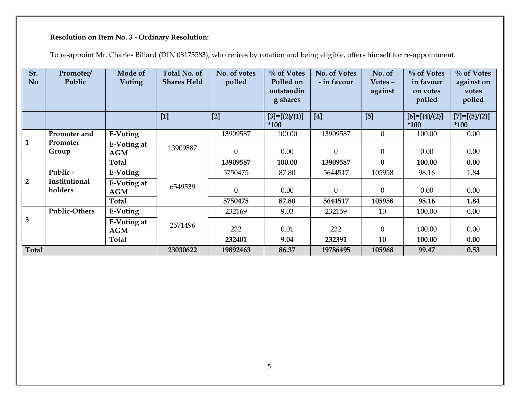|              | <b>Voting</b>                                                 | <b>Shares Held</b>                                            | No. of votes<br>polled | $\sqrt[0]{\overline{}}$ of Votes<br>Polled on<br>outstandin<br>g shares | No. of Votes<br>- in favour | No. of<br>Votes -<br>against | $\overline{\frac{0}{0}}$ of Votes<br>in favour<br>on votes<br>polled | $\%$ of Votes<br>against on<br>votes<br>polled |
|--------------|---------------------------------------------------------------|---------------------------------------------------------------|------------------------|-------------------------------------------------------------------------|-----------------------------|------------------------------|----------------------------------------------------------------------|------------------------------------------------|
|              |                                                               | $[1]$                                                         | $[2]$                  | $[3]=[2]/(1)]$<br>$*100$                                                | $[4]$                       | $[5]$                        | $[6]=[ (4)/(2)]$<br>$*100$                                           | $[7]=[ (5)/(2)]$<br>$*100$                     |
| Promoter and | E-Voting                                                      |                                                               | 13909587               | 100.00                                                                  | 13909587                    | $\boldsymbol{0}$             | 100.00                                                               | 0.00                                           |
| Group        | <b>E-Voting at</b><br>AGM                                     | 13909587                                                      | $\boldsymbol{0}$       | 0.00                                                                    | $\boldsymbol{0}$            | $\theta$                     | 0.00                                                                 | 0.00                                           |
|              | <b>Total</b>                                                  |                                                               | 13909587               | 100.00                                                                  | 13909587                    | $\bf{0}$                     | 100.00                                                               | 0.00                                           |
|              | E-Voting                                                      |                                                               | 5750475                | 87.80                                                                   | 5644517                     | 105958                       | 98.16                                                                | 1.84                                           |
| holders      | AGM                                                           | 6549539                                                       | $\boldsymbol{0}$       | $0.00\,$                                                                | $\boldsymbol{0}$            | $\boldsymbol{0}$             | $0.00\,$                                                             | $0.00\,$                                       |
|              | <b>Total</b>                                                  |                                                               | 5750475                | 87.80                                                                   | 5644517                     | 105958                       | 98.16                                                                | 1.84                                           |
|              |                                                               |                                                               |                        |                                                                         |                             |                              |                                                                      | $0.00\,$                                       |
|              | $\bf AGM$                                                     | 2571496                                                       | 232                    | $0.01\,$                                                                | 232                         | $\boldsymbol{0}$             | 100.00                                                               | 0.00                                           |
|              |                                                               |                                                               |                        |                                                                         |                             |                              |                                                                      | 0.00                                           |
|              |                                                               |                                                               |                        |                                                                         |                             |                              |                                                                      | 0.53                                           |
|              |                                                               |                                                               |                        |                                                                         |                             |                              |                                                                      |                                                |
| Total        | Promoter<br>Public -<br>Institutional<br><b>Public-Others</b> | <b>E-Voting at</b><br>E-Voting<br>E-Voting at<br><b>Total</b> | 23030622               | 232169<br>232401<br>19892463                                            | 9.03<br>9.04<br>86.37       | 232159<br>232391<br>19786495 | $10\,$<br>10<br>105968                                               | 100.00<br>100.00<br>99.47                      |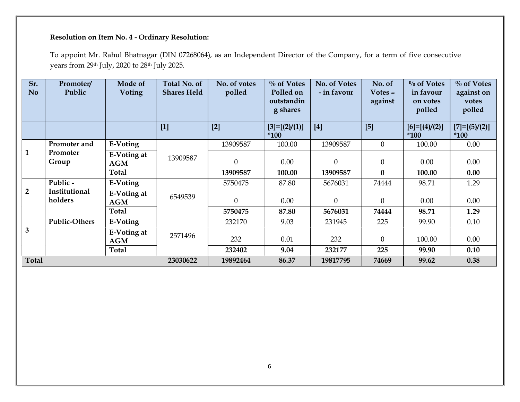| $[1]$<br>$[2]$<br>$[4]$<br>$[5]$<br>$[3]=[2]/(1)]$<br>$[6]=[ (4)/(2)]$<br>$*100$<br>$*100$<br>$*100$<br>13909587<br>13909587<br>$\overline{0}$<br>$0.00\,$<br>Promoter and<br>E-Voting<br>100.00<br>100.00<br>$\mathbf{1}$<br>Promoter<br>E-Voting at<br>13909587<br>$\overline{0}$<br>0.00<br>$\overline{0}$<br>$\theta$<br>0.00<br>0.00<br>Group<br>AGM<br>0.00<br><b>Total</b><br>$\bf{0}$<br>13909587<br>100.00<br>13909587<br>100.00<br>Public -<br>E-Voting<br>74444<br>5750475<br>5676031<br>98.71<br>1.29<br>87.80<br>$\overline{2}$<br>Institutional<br><b>E-Voting at</b><br>6549539<br>holders<br>$\boldsymbol{0}$<br>0.00<br>$\boldsymbol{0}$<br>$\theta$<br>0.00<br>0.00<br>AGM<br>Total<br>5750475<br>5676031<br>74444<br>98.71<br>1.29<br>87.80<br><b>Public-Others</b><br>E-Voting<br>232170<br>9.03<br>231945<br>225<br>99.90<br>0.10<br>$\mathbf{3}$<br><b>E-Voting at</b><br>2571496<br>0.01<br>$\overline{0}$<br>100.00<br>0.00<br>232<br>232<br><b>AGM</b><br><b>Total</b><br>232402<br>9.04<br>232177<br>225<br>99.90<br>0.10<br>Total<br>23030622<br>19892464<br>86.37<br>19817795<br>74669<br>99.62<br>0.38 | Sr.<br>No. | Promoter/<br>Public | Mode of<br>Voting | Total No. of<br><b>Shares Held</b> | No. of votes<br>polled | $\%$ of Votes<br>Polled on<br>outstandin<br>g shares | No. of Votes<br>- in favour | No. of<br>Votes -<br>against | $\%$ of Votes<br>in favour<br>on votes<br>polled | $\%$ of Votes<br>against on<br>votes<br>polled |
|-------------------------------------------------------------------------------------------------------------------------------------------------------------------------------------------------------------------------------------------------------------------------------------------------------------------------------------------------------------------------------------------------------------------------------------------------------------------------------------------------------------------------------------------------------------------------------------------------------------------------------------------------------------------------------------------------------------------------------------------------------------------------------------------------------------------------------------------------------------------------------------------------------------------------------------------------------------------------------------------------------------------------------------------------------------------------------------------------------------------------------------|------------|---------------------|-------------------|------------------------------------|------------------------|------------------------------------------------------|-----------------------------|------------------------------|--------------------------------------------------|------------------------------------------------|
|                                                                                                                                                                                                                                                                                                                                                                                                                                                                                                                                                                                                                                                                                                                                                                                                                                                                                                                                                                                                                                                                                                                                     |            |                     |                   |                                    |                        |                                                      |                             |                              |                                                  | $[7]=[ (5)/(2)]$                               |
|                                                                                                                                                                                                                                                                                                                                                                                                                                                                                                                                                                                                                                                                                                                                                                                                                                                                                                                                                                                                                                                                                                                                     |            |                     |                   |                                    |                        |                                                      |                             |                              |                                                  |                                                |
|                                                                                                                                                                                                                                                                                                                                                                                                                                                                                                                                                                                                                                                                                                                                                                                                                                                                                                                                                                                                                                                                                                                                     |            |                     |                   |                                    |                        |                                                      |                             |                              |                                                  |                                                |
|                                                                                                                                                                                                                                                                                                                                                                                                                                                                                                                                                                                                                                                                                                                                                                                                                                                                                                                                                                                                                                                                                                                                     |            |                     |                   |                                    |                        |                                                      |                             |                              |                                                  |                                                |
|                                                                                                                                                                                                                                                                                                                                                                                                                                                                                                                                                                                                                                                                                                                                                                                                                                                                                                                                                                                                                                                                                                                                     |            |                     |                   |                                    |                        |                                                      |                             |                              |                                                  |                                                |
|                                                                                                                                                                                                                                                                                                                                                                                                                                                                                                                                                                                                                                                                                                                                                                                                                                                                                                                                                                                                                                                                                                                                     |            |                     |                   |                                    |                        |                                                      |                             |                              |                                                  |                                                |
|                                                                                                                                                                                                                                                                                                                                                                                                                                                                                                                                                                                                                                                                                                                                                                                                                                                                                                                                                                                                                                                                                                                                     |            |                     |                   |                                    |                        |                                                      |                             |                              |                                                  |                                                |
|                                                                                                                                                                                                                                                                                                                                                                                                                                                                                                                                                                                                                                                                                                                                                                                                                                                                                                                                                                                                                                                                                                                                     |            |                     |                   |                                    |                        |                                                      |                             |                              |                                                  |                                                |
|                                                                                                                                                                                                                                                                                                                                                                                                                                                                                                                                                                                                                                                                                                                                                                                                                                                                                                                                                                                                                                                                                                                                     |            |                     |                   |                                    |                        |                                                      |                             |                              |                                                  |                                                |
|                                                                                                                                                                                                                                                                                                                                                                                                                                                                                                                                                                                                                                                                                                                                                                                                                                                                                                                                                                                                                                                                                                                                     |            |                     |                   |                                    |                        |                                                      |                             |                              |                                                  |                                                |
|                                                                                                                                                                                                                                                                                                                                                                                                                                                                                                                                                                                                                                                                                                                                                                                                                                                                                                                                                                                                                                                                                                                                     |            |                     |                   |                                    |                        |                                                      |                             |                              |                                                  |                                                |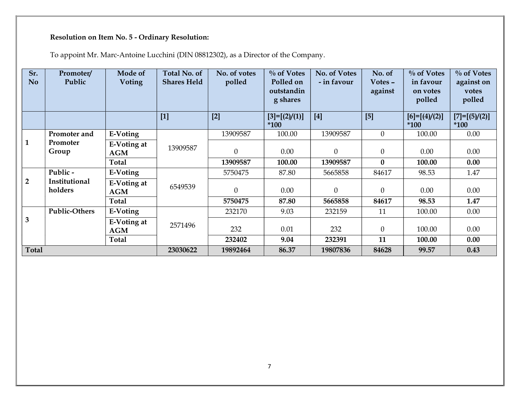| Sr.<br>No.     | Promoter/<br>Public      | Mode of<br><b>Voting</b>         | <b>Total No. of</b><br><b>Shares Held</b> | No. of votes<br>polled | $\%$ of Votes<br>Polled on<br>outstandin<br>g shares | No. of Votes<br>- in favour | No. of<br>Votes -<br>against | $\%$ of Votes<br>in favour<br>on votes<br>polled | $\%$ of Votes<br>against on<br>votes<br>polled |
|----------------|--------------------------|----------------------------------|-------------------------------------------|------------------------|------------------------------------------------------|-----------------------------|------------------------------|--------------------------------------------------|------------------------------------------------|
|                |                          |                                  | $[1]$                                     | $[2]$                  | $[3]=[2]/(1)]$<br>$*100$                             | $[4]$                       | [5]                          | $[6]=[ (4)/(2)]$<br>$*100$                       | $[7]=[ (5)/(2)]$<br>$*100$                     |
|                | Promoter and             | E-Voting                         |                                           | 13909587               | 100.00                                               | 13909587                    | $\boldsymbol{0}$             | 100.00                                           | 0.00                                           |
| $\mathbf{1}$   | Promoter<br>Group        | E-Voting at<br><b>AGM</b>        | 13909587                                  | $\boldsymbol{0}$       | 0.00                                                 | $\boldsymbol{0}$            | $\theta$                     | 0.00                                             | 0.00                                           |
|                |                          | <b>Total</b>                     |                                           | 13909587               | 100.00                                               | 13909587                    | $\mathbf{0}$                 | 100.00                                           | 0.00                                           |
|                | Public -                 | <b>E-Voting</b>                  |                                           | 5750475                | 87.80                                                | 5665858                     | 84617                        | 98.53                                            | 1.47                                           |
| $\overline{2}$ | Institutional<br>holders | <b>E-Voting at</b><br><b>AGM</b> | 6549539                                   | $\boldsymbol{0}$       | $0.00\,$                                             | $\boldsymbol{0}$            | $\boldsymbol{0}$             | 0.00                                             | 0.00                                           |
|                |                          | Total                            |                                           | 5750475                | 87.80                                                | 5665858                     | 84617                        | 98.53                                            | 1.47                                           |
|                | <b>Public-Others</b>     | E-Voting                         |                                           | 232170                 | 9.03                                                 | 232159                      | 11                           | 100.00                                           | $0.00\,$                                       |
| $\mathbf{3}$   |                          | E-Voting at<br>AGM               | 2571496                                   | 232                    | $0.01\,$                                             | 232                         | $\boldsymbol{0}$             | 100.00                                           | 0.00                                           |
|                |                          | Total                            |                                           | 232402                 | 9.04                                                 | 232391                      | 11                           | 100.00                                           | 0.00                                           |
| Total          |                          |                                  | 23030622                                  | 19892464               | 86.37                                                | 19807836                    | 84628                        | 99.57                                            | 0.43                                           |
|                |                          |                                  |                                           |                        |                                                      |                             |                              |                                                  |                                                |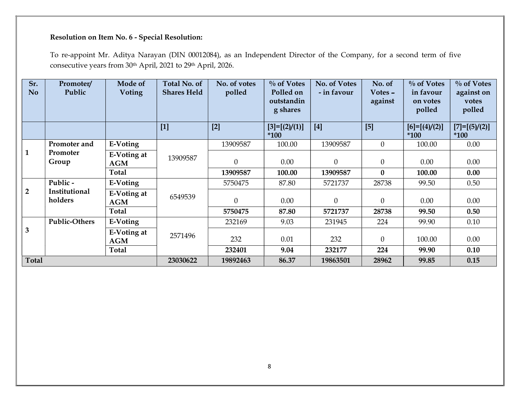| $[1]$<br>$[2]$<br>$[4]$<br>$[5]$<br>$[3]=[2]/(1)]$<br>$[6]=[ (4)/(2)]$<br>$*100$<br>$*100$<br>$*100$<br>13909587<br>13909587<br>$\overline{0}$<br>$0.00\,$<br>Promoter and<br>E-Voting<br>100.00<br>100.00<br>$\mathbf{1}$<br>Promoter<br>E-Voting at<br>13909587<br>$\overline{0}$<br>0.00<br>$\overline{0}$<br>$\overline{0}$<br>0.00<br>0.00<br>Group<br>AGM<br>0.00<br><b>Total</b><br>$\bf{0}$<br>13909587<br>100.00<br>13909587<br>100.00<br>Public -<br>E-Voting<br>5750475<br>28738<br>99.50<br>0.50<br>87.80<br>5721737<br>$\overline{2}$<br>Institutional<br><b>E-Voting at</b><br>6549539<br>holders<br>$\boldsymbol{0}$<br>$\boldsymbol{0}$<br>$\theta$<br>0.00<br>0.00<br>0.00<br>AGM<br>Total<br>5750475<br>5721737<br>0.50<br>87.80<br>28738<br>99.50<br><b>Public-Others</b><br>E-Voting<br>232169<br>9.03<br>231945<br>99.90<br>0.10<br>224<br>$\mathbf{3}$<br><b>E-Voting at</b><br>2571496<br>0.01<br>$\overline{0}$<br>100.00<br>0.00<br>232<br>232<br><b>AGM</b><br>Total<br>232401<br>9.04<br>232177<br>99.90<br>0.10<br>224<br>Total<br>23030622<br>19892463<br>86.37<br>19863501<br>28962<br>99.85<br>0.15 | Sr.<br>No. | Promoter/<br>Public | Mode of<br>Voting | Total No. of<br><b>Shares Held</b> | No. of votes<br>polled | $\%$ of Votes<br>Polled on<br>outstandin<br>g shares | No. of Votes<br>- in favour | No. of<br>Votes -<br>against | $\%$ of Votes<br>in favour<br>on votes<br>polled | $\%$ of Votes<br>against on<br>votes<br>polled |
|------------------------------------------------------------------------------------------------------------------------------------------------------------------------------------------------------------------------------------------------------------------------------------------------------------------------------------------------------------------------------------------------------------------------------------------------------------------------------------------------------------------------------------------------------------------------------------------------------------------------------------------------------------------------------------------------------------------------------------------------------------------------------------------------------------------------------------------------------------------------------------------------------------------------------------------------------------------------------------------------------------------------------------------------------------------------------------------------------------------------------------|------------|---------------------|-------------------|------------------------------------|------------------------|------------------------------------------------------|-----------------------------|------------------------------|--------------------------------------------------|------------------------------------------------|
|                                                                                                                                                                                                                                                                                                                                                                                                                                                                                                                                                                                                                                                                                                                                                                                                                                                                                                                                                                                                                                                                                                                                    |            |                     |                   |                                    |                        |                                                      |                             |                              |                                                  | $[7]=[ (5)/(2)]$                               |
|                                                                                                                                                                                                                                                                                                                                                                                                                                                                                                                                                                                                                                                                                                                                                                                                                                                                                                                                                                                                                                                                                                                                    |            |                     |                   |                                    |                        |                                                      |                             |                              |                                                  |                                                |
|                                                                                                                                                                                                                                                                                                                                                                                                                                                                                                                                                                                                                                                                                                                                                                                                                                                                                                                                                                                                                                                                                                                                    |            |                     |                   |                                    |                        |                                                      |                             |                              |                                                  |                                                |
|                                                                                                                                                                                                                                                                                                                                                                                                                                                                                                                                                                                                                                                                                                                                                                                                                                                                                                                                                                                                                                                                                                                                    |            |                     |                   |                                    |                        |                                                      |                             |                              |                                                  |                                                |
|                                                                                                                                                                                                                                                                                                                                                                                                                                                                                                                                                                                                                                                                                                                                                                                                                                                                                                                                                                                                                                                                                                                                    |            |                     |                   |                                    |                        |                                                      |                             |                              |                                                  |                                                |
|                                                                                                                                                                                                                                                                                                                                                                                                                                                                                                                                                                                                                                                                                                                                                                                                                                                                                                                                                                                                                                                                                                                                    |            |                     |                   |                                    |                        |                                                      |                             |                              |                                                  |                                                |
|                                                                                                                                                                                                                                                                                                                                                                                                                                                                                                                                                                                                                                                                                                                                                                                                                                                                                                                                                                                                                                                                                                                                    |            |                     |                   |                                    |                        |                                                      |                             |                              |                                                  |                                                |
|                                                                                                                                                                                                                                                                                                                                                                                                                                                                                                                                                                                                                                                                                                                                                                                                                                                                                                                                                                                                                                                                                                                                    |            |                     |                   |                                    |                        |                                                      |                             |                              |                                                  |                                                |
|                                                                                                                                                                                                                                                                                                                                                                                                                                                                                                                                                                                                                                                                                                                                                                                                                                                                                                                                                                                                                                                                                                                                    |            |                     |                   |                                    |                        |                                                      |                             |                              |                                                  |                                                |
|                                                                                                                                                                                                                                                                                                                                                                                                                                                                                                                                                                                                                                                                                                                                                                                                                                                                                                                                                                                                                                                                                                                                    |            |                     |                   |                                    |                        |                                                      |                             |                              |                                                  |                                                |
|                                                                                                                                                                                                                                                                                                                                                                                                                                                                                                                                                                                                                                                                                                                                                                                                                                                                                                                                                                                                                                                                                                                                    |            |                     |                   |                                    |                        |                                                      |                             |                              |                                                  |                                                |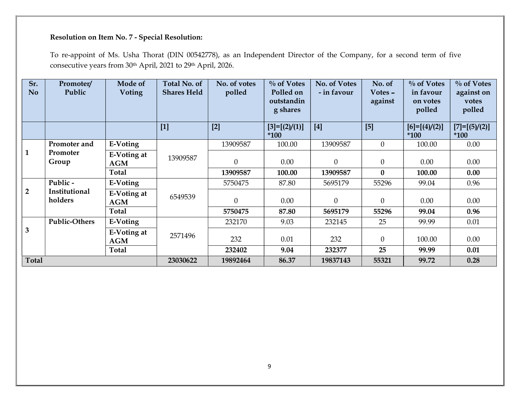| $[1]$<br>$[2]$<br>$[4]$<br>$[5]$<br>$[3]=[2]/(1)]$<br>$[6]=[ (4)/(2)]$<br>$[7]=[ (5)/(2)]$<br>$*100$<br>$*100$<br>$*100$<br>13909587<br>13909587<br>$\overline{0}$<br>$0.00\,$<br>Promoter and<br>E-Voting<br>100.00<br>100.00<br>$\mathbf{1}$<br>Promoter<br>E-Voting at<br>13909587<br>$\overline{0}$<br>0.00<br>$\overline{0}$<br>$\theta$<br>0.00<br>0.00<br>Group<br>AGM<br>0.00<br><b>Total</b><br>$\bf{0}$<br>13909587<br>100.00<br>13909587<br>100.00<br>Public -<br>E-Voting<br>55296<br>99.04<br>0.96<br>5750475<br>87.80<br>5695179<br>$\overline{2}$<br>Institutional<br><b>E-Voting at</b><br>6549539<br>holders<br>$\boldsymbol{0}$<br>$\boldsymbol{0}$<br>$\boldsymbol{0}$<br>0.00<br>0.00<br>0.00<br>AGM<br>Total<br>0.96<br>5750475<br>87.80<br>5695179<br>55296<br>99.04<br><b>Public-Others</b><br>E-Voting<br>232170<br>9.03<br>232145<br>25<br>99.99<br>0.01<br>$\mathbf{3}$<br><b>E-Voting at</b><br>2571496<br>0.01<br>$\overline{0}$<br>100.00<br>0.00<br>232<br>232<br><b>AGM</b><br>Total<br>232402<br>9.04<br>232377<br>25<br>99.99<br>0.01<br>Total<br>23030622<br>99.72<br>19892464<br>86.37<br>19837143<br>55321<br>0.28 |
|--------------------------------------------------------------------------------------------------------------------------------------------------------------------------------------------------------------------------------------------------------------------------------------------------------------------------------------------------------------------------------------------------------------------------------------------------------------------------------------------------------------------------------------------------------------------------------------------------------------------------------------------------------------------------------------------------------------------------------------------------------------------------------------------------------------------------------------------------------------------------------------------------------------------------------------------------------------------------------------------------------------------------------------------------------------------------------------------------------------------------------------------------------|
|                                                                                                                                                                                                                                                                                                                                                                                                                                                                                                                                                                                                                                                                                                                                                                                                                                                                                                                                                                                                                                                                                                                                                        |
|                                                                                                                                                                                                                                                                                                                                                                                                                                                                                                                                                                                                                                                                                                                                                                                                                                                                                                                                                                                                                                                                                                                                                        |
|                                                                                                                                                                                                                                                                                                                                                                                                                                                                                                                                                                                                                                                                                                                                                                                                                                                                                                                                                                                                                                                                                                                                                        |
|                                                                                                                                                                                                                                                                                                                                                                                                                                                                                                                                                                                                                                                                                                                                                                                                                                                                                                                                                                                                                                                                                                                                                        |
|                                                                                                                                                                                                                                                                                                                                                                                                                                                                                                                                                                                                                                                                                                                                                                                                                                                                                                                                                                                                                                                                                                                                                        |
|                                                                                                                                                                                                                                                                                                                                                                                                                                                                                                                                                                                                                                                                                                                                                                                                                                                                                                                                                                                                                                                                                                                                                        |
|                                                                                                                                                                                                                                                                                                                                                                                                                                                                                                                                                                                                                                                                                                                                                                                                                                                                                                                                                                                                                                                                                                                                                        |
|                                                                                                                                                                                                                                                                                                                                                                                                                                                                                                                                                                                                                                                                                                                                                                                                                                                                                                                                                                                                                                                                                                                                                        |
|                                                                                                                                                                                                                                                                                                                                                                                                                                                                                                                                                                                                                                                                                                                                                                                                                                                                                                                                                                                                                                                                                                                                                        |
|                                                                                                                                                                                                                                                                                                                                                                                                                                                                                                                                                                                                                                                                                                                                                                                                                                                                                                                                                                                                                                                                                                                                                        |
|                                                                                                                                                                                                                                                                                                                                                                                                                                                                                                                                                                                                                                                                                                                                                                                                                                                                                                                                                                                                                                                                                                                                                        |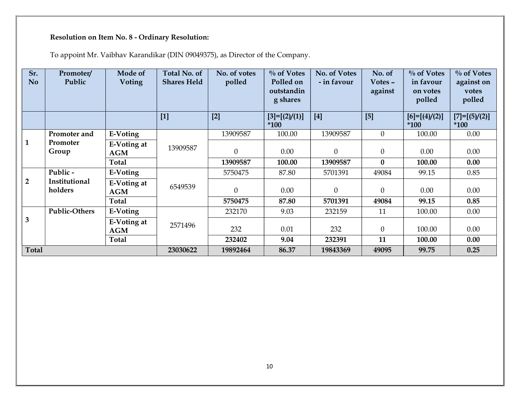|                | <b>Resolution on Item No. 8 - Ordinary Resolution:</b><br>To appoint Mr. Vaibhav Karandikar (DIN 09049375), as Director of the Company. |                           |                                    |                        |                                                      |                             |                              |                                                  |                                                |
|----------------|-----------------------------------------------------------------------------------------------------------------------------------------|---------------------------|------------------------------------|------------------------|------------------------------------------------------|-----------------------------|------------------------------|--------------------------------------------------|------------------------------------------------|
| Sr.<br>No.     | Promoter/<br>Public                                                                                                                     | Mode of<br><b>Voting</b>  | Total No. of<br><b>Shares Held</b> | No. of votes<br>polled | $\%$ of Votes<br>Polled on<br>outstandin<br>g shares | No. of Votes<br>- in favour | No. of<br>Votes -<br>against | $\%$ of Votes<br>in favour<br>on votes<br>polled | $\%$ of Votes<br>against on<br>votes<br>polled |
|                |                                                                                                                                         |                           | $[1]$                              | $[2]$                  | $[3]=[2]/(1)]$<br>$*100$                             | $[4]$                       | $[5]$                        | $[6]=[ (4)/(2)]$<br>$*100$                       | $[7]=[5]/(2)]$<br>$*100$                       |
|                | Promoter and                                                                                                                            | E-Voting                  |                                    | 13909587               | 100.00                                               | 13909587                    | $\overline{0}$               | 100.00                                           | 0.00                                           |
| $\mathbf{1}$   | Promoter<br>Group                                                                                                                       | <b>E-Voting at</b><br>AGM | 13909587                           | $\mathbf{0}$           | 0.00                                                 | $\boldsymbol{0}$            | $\mathbf{0}$                 | 0.00                                             | 0.00                                           |
|                |                                                                                                                                         | <b>Total</b>              |                                    | 13909587               | 100.00                                               | 13909587                    | $\mathbf{0}$                 | 100.00                                           | 0.00                                           |
|                | Public -                                                                                                                                | E-Voting                  |                                    | 5750475                | 87.80                                                | 5701391                     | 49084                        | 99.15                                            | 0.85                                           |
| $\overline{2}$ | Institutional<br>holders                                                                                                                | <b>E-Voting at</b><br>AGM | 6549539                            | $\boldsymbol{0}$       | $0.00\,$                                             | $\boldsymbol{0}$            | $\overline{0}$               | 0.00                                             | 0.00                                           |
|                |                                                                                                                                         | Total                     |                                    | 5750475                | 87.80                                                | 5701391                     | 49084                        | 99.15                                            | 0.85                                           |
|                | <b>Public-Others</b>                                                                                                                    | E-Voting                  |                                    | 232170                 | 9.03                                                 | 232159                      | 11                           | 100.00                                           | 0.00                                           |
| $\mathbf{3}$   |                                                                                                                                         | E-Voting at<br>AGM        | 2571496                            | 232                    | $0.01\,$                                             | 232                         | $\mathbf{0}$                 | 100.00                                           | 0.00                                           |
|                |                                                                                                                                         | <b>Total</b>              |                                    | 232402                 | 9.04                                                 | 232391                      | 11                           | 100.00                                           | 0.00                                           |
| Total          |                                                                                                                                         |                           | 23030622                           | 19892464               | 86.37                                                | 19843369                    | 49095                        | 99.75                                            | 0.25                                           |
|                |                                                                                                                                         |                           |                                    |                        |                                                      |                             |                              |                                                  |                                                |
|                |                                                                                                                                         |                           |                                    |                        | 10                                                   |                             |                              |                                                  |                                                |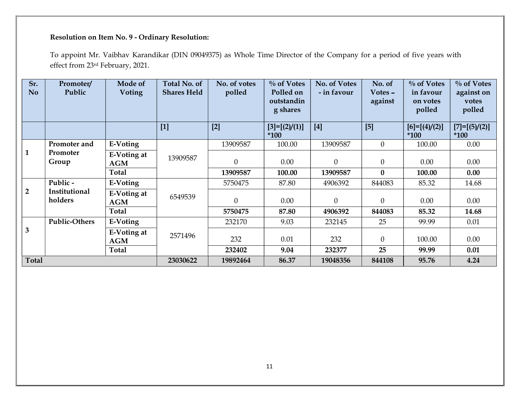| $[1]$<br>$[2]$<br>$[4]$<br>[5]<br>$[7]=[5]/(2)]$<br>$[3]=[2]/(1)]$<br>$[6]=[ (4)/(2)]$<br>$*100$<br>$*100$<br>$*100$<br>13909587<br>13909587<br>$\overline{0}$<br>$0.00\,$<br>Promoter and<br>E-Voting<br>100.00<br>100.00<br>Promoter<br>E-Voting at<br>13909587<br>Group<br>$\theta$<br>0.00<br>$\mathbf{0}$<br>$\overline{0}$<br>0.00<br>0.00<br>AGM<br>$\bf{0}$<br><b>Total</b><br>13909587<br>100.00<br>0.00<br>13909587<br>100.00<br>Public -<br>E-Voting<br>87.80<br>4906392<br>85.32<br>14.68<br>5750475<br>844083<br>Institutional<br><b>E-Voting at</b><br>6549539<br>holders<br>0.00<br>0.00<br>$\mathbf{0}$<br>$\overline{0}$<br>0.00<br>$\overline{0}$<br>AGM<br>Total<br>5750475<br>4906392<br>14.68<br>87.80<br>844083<br>85.32<br><b>Public-Others</b><br>E-Voting<br>232170<br>9.03<br>232145<br>25<br>99.99<br>$0.01\,$<br>E-Voting at<br>2571496<br>$0.00\,$<br>232<br>0.01<br>232<br>$\overline{0}$<br>100.00<br>AGM<br>Total<br>232402<br>9.04<br>232377<br>25<br>99.99<br>0.01<br>Total<br>23030622<br>19892464<br>95.76<br>4.24<br>86.37<br>19048356<br>844108<br>11 | Sr.<br><b>No</b> | Promoter/<br>Public | Mode of<br><b>Voting</b> | Total No. of<br><b>Shares Held</b> | No. of votes<br>polled | $\%$ of Votes<br>Polled on<br>outstandin<br>g shares | No. of Votes<br>- in favour | No. of<br>Votes -<br>against | $\%$ of Votes<br>in favour<br>on votes<br>polled | $\%$ of Votes<br>against on<br>votes<br>polled |
|---------------------------------------------------------------------------------------------------------------------------------------------------------------------------------------------------------------------------------------------------------------------------------------------------------------------------------------------------------------------------------------------------------------------------------------------------------------------------------------------------------------------------------------------------------------------------------------------------------------------------------------------------------------------------------------------------------------------------------------------------------------------------------------------------------------------------------------------------------------------------------------------------------------------------------------------------------------------------------------------------------------------------------------------------------------------------------------------|------------------|---------------------|--------------------------|------------------------------------|------------------------|------------------------------------------------------|-----------------------------|------------------------------|--------------------------------------------------|------------------------------------------------|
| $\mathbf{1}$<br>$\overline{2}$<br>$\mathbf{3}$                                                                                                                                                                                                                                                                                                                                                                                                                                                                                                                                                                                                                                                                                                                                                                                                                                                                                                                                                                                                                                              |                  |                     |                          |                                    |                        |                                                      |                             |                              |                                                  |                                                |
|                                                                                                                                                                                                                                                                                                                                                                                                                                                                                                                                                                                                                                                                                                                                                                                                                                                                                                                                                                                                                                                                                             |                  |                     |                          |                                    |                        |                                                      |                             |                              |                                                  |                                                |
|                                                                                                                                                                                                                                                                                                                                                                                                                                                                                                                                                                                                                                                                                                                                                                                                                                                                                                                                                                                                                                                                                             |                  |                     |                          |                                    |                        |                                                      |                             |                              |                                                  |                                                |
|                                                                                                                                                                                                                                                                                                                                                                                                                                                                                                                                                                                                                                                                                                                                                                                                                                                                                                                                                                                                                                                                                             |                  |                     |                          |                                    |                        |                                                      |                             |                              |                                                  |                                                |
|                                                                                                                                                                                                                                                                                                                                                                                                                                                                                                                                                                                                                                                                                                                                                                                                                                                                                                                                                                                                                                                                                             |                  |                     |                          |                                    |                        |                                                      |                             |                              |                                                  |                                                |
|                                                                                                                                                                                                                                                                                                                                                                                                                                                                                                                                                                                                                                                                                                                                                                                                                                                                                                                                                                                                                                                                                             |                  |                     |                          |                                    |                        |                                                      |                             |                              |                                                  |                                                |
|                                                                                                                                                                                                                                                                                                                                                                                                                                                                                                                                                                                                                                                                                                                                                                                                                                                                                                                                                                                                                                                                                             |                  |                     |                          |                                    |                        |                                                      |                             |                              |                                                  |                                                |
|                                                                                                                                                                                                                                                                                                                                                                                                                                                                                                                                                                                                                                                                                                                                                                                                                                                                                                                                                                                                                                                                                             |                  |                     |                          |                                    |                        |                                                      |                             |                              |                                                  |                                                |
|                                                                                                                                                                                                                                                                                                                                                                                                                                                                                                                                                                                                                                                                                                                                                                                                                                                                                                                                                                                                                                                                                             |                  |                     |                          |                                    |                        |                                                      |                             |                              |                                                  |                                                |
|                                                                                                                                                                                                                                                                                                                                                                                                                                                                                                                                                                                                                                                                                                                                                                                                                                                                                                                                                                                                                                                                                             |                  |                     |                          |                                    |                        |                                                      |                             |                              |                                                  |                                                |
|                                                                                                                                                                                                                                                                                                                                                                                                                                                                                                                                                                                                                                                                                                                                                                                                                                                                                                                                                                                                                                                                                             |                  |                     |                          |                                    |                        |                                                      |                             |                              |                                                  |                                                |
|                                                                                                                                                                                                                                                                                                                                                                                                                                                                                                                                                                                                                                                                                                                                                                                                                                                                                                                                                                                                                                                                                             |                  |                     |                          |                                    |                        |                                                      |                             |                              |                                                  |                                                |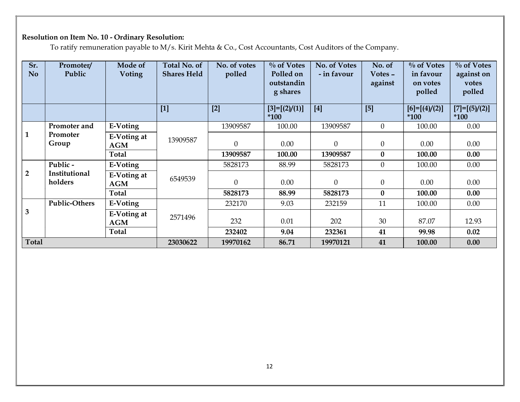| Sr.<br>No      | Promoter/<br>Public      | Mode of<br><b>Voting</b>         | Total No. of<br><b>Shares Held</b> | No. of votes<br>polled | $\%$ of Votes<br>Polled on<br>outstandin<br>g shares | No. of Votes<br>- in favour | No. of<br>Votes -<br>against | $\%$ of Votes<br>in favour<br>on votes<br>polled | $\%$ of Votes<br>against on<br>votes<br>polled |
|----------------|--------------------------|----------------------------------|------------------------------------|------------------------|------------------------------------------------------|-----------------------------|------------------------------|--------------------------------------------------|------------------------------------------------|
|                |                          |                                  | $[1]$                              | $[2]$                  | $[3]=[2]/(1)]$<br>$*100$                             | $[4]$                       | $[5]$                        | $[6]=[ (4)/(2)]$<br>$*100$                       | $[7]=[5]/(2)]$<br>$*100$                       |
|                | Promoter and             | <b>E-Voting</b>                  |                                    | 13909587               | 100.00                                               | 13909587                    | $\overline{0}$               | 100.00                                           | 0.00                                           |
| $\mathbf{1}$   | Promoter<br>Group        | <b>E-Voting at</b><br>AGM        | 13909587                           | $\boldsymbol{0}$       | $0.00\,$                                             | $\boldsymbol{0}$            | $\theta$                     | 0.00                                             | 0.00                                           |
|                |                          | <b>Total</b>                     |                                    | 13909587               | 100.00                                               | 13909587                    | $\bf{0}$                     | 100.00                                           | 0.00                                           |
|                | Public -                 | E-Voting                         |                                    | 5828173                | 88.99                                                | 5828173                     | $\overline{0}$               | 100.00                                           | $0.00\,$                                       |
| $\overline{2}$ | Institutional<br>holders | <b>E-Voting at</b><br><b>AGM</b> | 6549539                            | $\boldsymbol{0}$       | 0.00                                                 | $\boldsymbol{0}$            | $\overline{0}$               | 0.00                                             | 0.00                                           |
|                |                          | <b>Total</b>                     |                                    | 5828173                | 88.99                                                | 5828173                     | $\bf{0}$                     | 100.00                                           | 0.00                                           |
|                | <b>Public-Others</b>     | E-Voting                         |                                    | 232170                 | 9.03                                                 | 232159                      | 11                           | 100.00                                           | 0.00                                           |
| 3              |                          | E-Voting at<br><b>AGM</b>        | 2571496                            | 232                    | $0.01\,$                                             | 202                         | $30\,$                       | 87.07                                            | 12.93                                          |
|                |                          | Total                            |                                    | 232402                 | 9.04                                                 | 232361                      | 41                           | 99.98                                            | $0.02\,$                                       |
| <b>Total</b>   |                          |                                  | 23030622                           | 19970162               | 86.71                                                | 19970121                    | 41                           | 100.00                                           | 0.00                                           |
|                |                          |                                  |                                    |                        |                                                      |                             |                              |                                                  |                                                |
|                |                          |                                  |                                    |                        | 12 <sup>°</sup>                                      |                             |                              |                                                  |                                                |